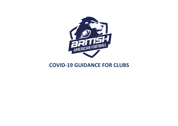

# **COVID-19 GUIDANCE FOR CLUBS**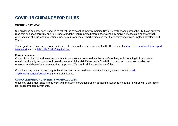# **COVID-19 GUIDANCE FOR CLUBS**

# *Updated: 7 April 2022*

Our guidance has now been updated to reflect the removal of many remaining Covid-19 restrictions across the UK. Make sure you read this guidance carefully and fully understand the requirements before undertaking any activity. Please also be aware that guidance can change, and restrictions may be reintroduced at short notice and that these may vary across England, Scotland and Wales.

These guidelines have been produced in line with the most recent version of the UK Government's return to recreational team sport [framework](https://www.gov.uk/guidance/coronavirus-covid-19-grassroots-sports-guidance-for-safe-provision-including-team-sport-contact-combat-sport-and-organised-sport-events) and the [latest UK Covid-19 guidance.](https://www.gov.uk/coronavirus) 

#### **Please remember…**

Covid-19 is still a risk and we must continue to do what we can to reduce the risk of catching and spreading it. Precautions remain particularly important to those who are at a higher risk if they catch Covid-19. It is also important to consider that others may wish to take a more cautious approach. We should all be considerate of this.

If you have any questions relating to this document, or the guidance contained within, please contact [covid-](mailto:covid-19@britishamericanfootball.org)[19@britishamericanfootball.org i](mailto:covid-19@britishamericanfootball.org)n the first instance.

## **GUIDANCE NOTE FOR UNIVERSITY FOOTBALL CLUBS**

University clubs must ensure they work with the Sports or Athletic Union at their institution to meet their own Covid-19 protocols risk assessment requirements.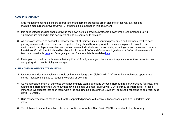# **CLUB PREPARATION**

- 1. Club management should ensure appropriate management processes are in place to effectively oversee and maintain measures to prevent Covid-19 in their club, as outlined in this document.
- 2. It is suggested that clubs should draw up their own detailed practice protocols, however the recommended Covid-19 behaviours outlined in this document should be common to all clubs.
- 3. All clubs are advised to conduct a risk assessment of their facilities, operating procedures and planned activities each playing season and ensure its updated regularly. They should have appropriate measures in place to provide a safe environment for players, volunteers and other relevant individuals such as officials, including control measures to reduce the risks of Covid-19 which should be aligned with current BAFA and Government guidance. A BAFA risk assessment template is available [here.](https://www.britishamericanfootball.org/wp-content/uploads/2021/04/BAFA-EAP-example-template.docx) An Emergency Action Plan template is available here.
- 4. Participants should be made aware that any Covid-19 mitigations you choose to put in place are for their protection and complying with them is highly encouraged.

# **CLUB COVID-19 OFFICER / TEAM LEADS**

- 5. It's recommended that each club should still retain a designated Club Covid-19 Officer to help make sure appropriate control measures in place to reduce the spread of Covid-19.
- 6. As we appreciate many of our clubs comprise multiple teams operating across different third party provided facilities, and running to different timings, we know that having a single volunteer club Covid-19 Officer may be impractical. In these instances, we suggest that each team within the club retains a designated Covid-19 Team Lead, reporting to an overall Club Covid-19 Officer.
- 7. Club management must make sure that the appointed persons will receive all necessary support to undertake their roles.
- 8. The club must ensure that all members are notified of who their Club Covid-19 Officer is, should they have any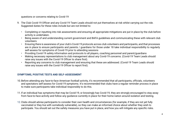questions or concerns relating to Covid-19

- 9. The Club Covid-19 Officer and any Covid-19 Team Leads should not put themselves at risk whilst carrying out the role. Suggested duties for these roles include but are not limited to:
	- Completing or inputting into risk assessments and ensuring all appropriate mitigations are put in place by the club before activity is undertaken.
	- Being aware of and understanding current government and BAFA guidelines and communicating these with relevant club volunteers
	- Ensuring there is awareness of your club's Covid-19 protocols across club volunteers and participants, and that processes are in place to ensure participants and parents / guardians for those under 18 take individual responsibility to regularly self-assess for symptoms of Covid-19 prior to attending sessions
	- Providing Covid-19 safety information and protocols to all players, coaching personnel and parent/guardians
	- Making necessary representations to club management about any Covid-19 concerns. (Covid-19 Team Leads should raise any issues with the Covid-19 Officer to share first).
	- Reporting any concerns to club management and ensuring that these are addressed. (Covid-19 Team Leads should raise any issues with the Covid-19 Officer to report first).

# **SYMPTOMS, POSITIVE TESTS AND SELF-ASSESSMENT**

- 10.Before attending any face-to-face American football activity, it's recommended that all participants, officials, volunteers and spectators self-assess for Covid-19 symptoms. It's recommended that clubs have a regular reminder process in place to make sure participants take individual responsibly to do this.
- 11.If an individual has symptoms that may be Covid-19, or knowingly has Covid-19, they are strongly encouraged to stay away from face-to-face activity and follow any guidance currently in place for their home nation around isolation and testing.
- 12.Clubs should advise participants to consider their own health and circumstances (for example, if they are not yet fully vaccinated or they live with somebody vulnerable), so they can make an informed choice about whether they wish to participate. You should set out the safety measures you have put in place, and how you will mitigate any specific risks.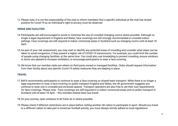13.Please note, it is not the responsibility of the club to inform members that a specific individual at the club has tested positive for Covid-19 as an individual's right to privacy must be observed.

# **VENUE AND FACILITIES**

- 14.Participants are still encouraged to avoid or minimise the use of crowded changing rooms where possible. Although no longer a legal requirement in England and Wales, face coverings are still strongly recommended in crowded indoor settings. Face coverings are still required in indoor communal areas in Scotland such as changing rooms until at least 18 April.
- 15.As part of your risk assessment, you may wish to identify any potential areas of crowding and consider what steps can be taken to avoid congestion, if they present a higher risk of COVID-19 transmission. For example, you could limit the number of people using changing facilities, at the same time. You could also use timetabling to prevent crowding, ensure windows or doors are opened to increase ventilation, or encourage participants to wear a face covering.
- 16.We know that our member clubs are reliant on third party owned or managed facilities. Clubs should request information from their facility about any specific Covid-19 safety measures they are keeping in place.

# **TRAVEL**

- 17.BAFA recommends participants to continue to wear a face covering on shared team transport. While there is no longer a legal requirement to wear a face covering on public transport England and Wales, the UK government suggests you continue to wear one in crowded and enclosed spaces. Transport operators are also free to set their own requirements for face coverings. Please note - Face coverings are still required in in indoor communal areas and on public transport in Scotland until at least 18 April – this includes shared team bus travel.
- 18.On your journey, open windows to let fresh air in where possible.
- 19.Please check if different restrictions are in place before visiting another UK nation to participate in sport. Should you travel to a different nation to take part in American football activity, you must always strictly adhere to local regulations.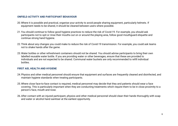## **ONFIELD ACTIVITY AND PARTICIPANT BEHAVIOUR**

- 20.Where it is possible and practical, organise your activity to avoid people sharing equipment, particularly helmets. If equipment needs to be shared, it should be cleaned between users where possible.
- 21.You should continue to follow good hygiene practices to reduce the risk of Covid-19. For example, you should ask participants not to spit or rinse their mouths out on or around the playing area, follow good mouthguard etiquette and continue strong hand hygiene.
- 22.Think about any changes you could make to reduce the risk of Covid-19 transmission. For example, you could ask teams not to shake hands after the game.
- 23.Water bottles or other refreshment containers should not be shared. You should advise participants to bring their own labelled reusable water bottle. If you are providing water or other beverages, ensure that these are provided to individuals and are not expected to be shared. Communal water buckets are only recommended to refill individual bottles.

# **FIRST AID, HEALTH AND HYGIENE**

- 24.Physios and other medical personnel should ensure that equipment and surfaces are frequently cleaned and disinfected, and maintain hygiene standards when treating participants.
- 25.Where close face-to-face contact is required, medical personnel may decide that they and patients should wear a face covering. This is particularly important when they are conducting treatments which require them to be in close proximity to a person's face, mouth and nose.
- 26.After contact with an injured participant, physios and other medical personnel should clean their hands thoroughly with soap and water or alcohol hand sanitiser at the earliest opportunity.